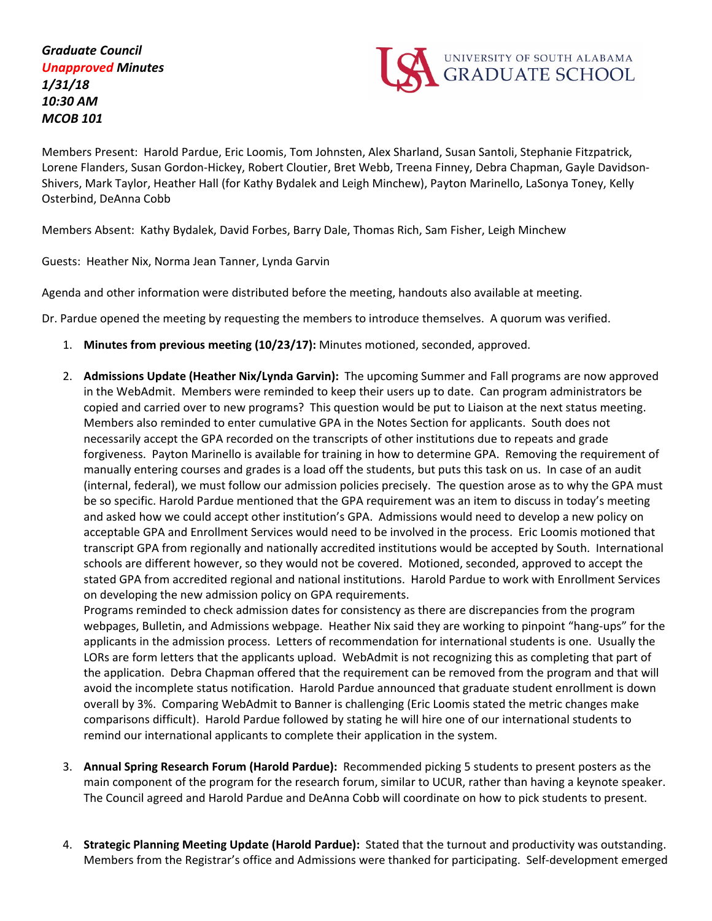*Graduate Council Unapproved Minutes 1/31/18 10:30 AM MCOB 101*



Members Present: Harold Pardue, Eric Loomis, Tom Johnsten, Alex Sharland, Susan Santoli, Stephanie Fitzpatrick, Lorene Flanders, Susan Gordon-Hickey, Robert Cloutier, Bret Webb, Treena Finney, Debra Chapman, Gayle Davidson-Shivers, Mark Taylor, Heather Hall (for Kathy Bydalek and Leigh Minchew), Payton Marinello, LaSonya Toney, Kelly Osterbind, DeAnna Cobb

Members Absent: Kathy Bydalek, David Forbes, Barry Dale, Thomas Rich, Sam Fisher, Leigh Minchew

Guests: Heather Nix, Norma Jean Tanner, Lynda Garvin

Agenda and other information were distributed before the meeting, handouts also available at meeting.

Dr. Pardue opened the meeting by requesting the members to introduce themselves. A quorum was verified.

- 1. **Minutes from previous meeting (10/23/17):** Minutes motioned, seconded, approved.
- 2. **Admissions Update (Heather Nix/Lynda Garvin):** The upcoming Summer and Fall programs are now approved in the WebAdmit. Members were reminded to keep their users up to date. Can program administrators be copied and carried over to new programs? This question would be put to Liaison at the next status meeting. Members also reminded to enter cumulative GPA in the Notes Section for applicants. South does not necessarily accept the GPA recorded on the transcripts of other institutions due to repeats and grade forgiveness. Payton Marinello is available for training in how to determine GPA. Removing the requirement of manually entering courses and grades is a load off the students, but puts this task on us. In case of an audit (internal, federal), we must follow our admission policies precisely. The question arose as to why the GPA must be so specific. Harold Pardue mentioned that the GPA requirement was an item to discuss in today's meeting and asked how we could accept other institution's GPA. Admissions would need to develop a new policy on acceptable GPA and Enrollment Services would need to be involved in the process. Eric Loomis motioned that transcript GPA from regionally and nationally accredited institutions would be accepted by South. International schools are different however, so they would not be covered. Motioned, seconded, approved to accept the stated GPA from accredited regional and national institutions. Harold Pardue to work with Enrollment Services on developing the new admission policy on GPA requirements.

Programs reminded to check admission dates for consistency as there are discrepancies from the program webpages, Bulletin, and Admissions webpage. Heather Nix said they are working to pinpoint "hang-ups" for the applicants in the admission process. Letters of recommendation for international students is one. Usually the LORs are form letters that the applicants upload. WebAdmit is not recognizing this as completing that part of the application. Debra Chapman offered that the requirement can be removed from the program and that will avoid the incomplete status notification. Harold Pardue announced that graduate student enrollment is down overall by 3%. Comparing WebAdmit to Banner is challenging (Eric Loomis stated the metric changes make comparisons difficult). Harold Pardue followed by stating he will hire one of our international students to remind our international applicants to complete their application in the system.

- 3. **Annual Spring Research Forum (Harold Pardue):** Recommended picking 5 students to present posters as the main component of the program for the research forum, similar to UCUR, rather than having a keynote speaker. The Council agreed and Harold Pardue and DeAnna Cobb will coordinate on how to pick students to present.
- 4. **Strategic Planning Meeting Update (Harold Pardue):** Stated that the turnout and productivity was outstanding. Members from the Registrar's office and Admissions were thanked for participating. Self-development emerged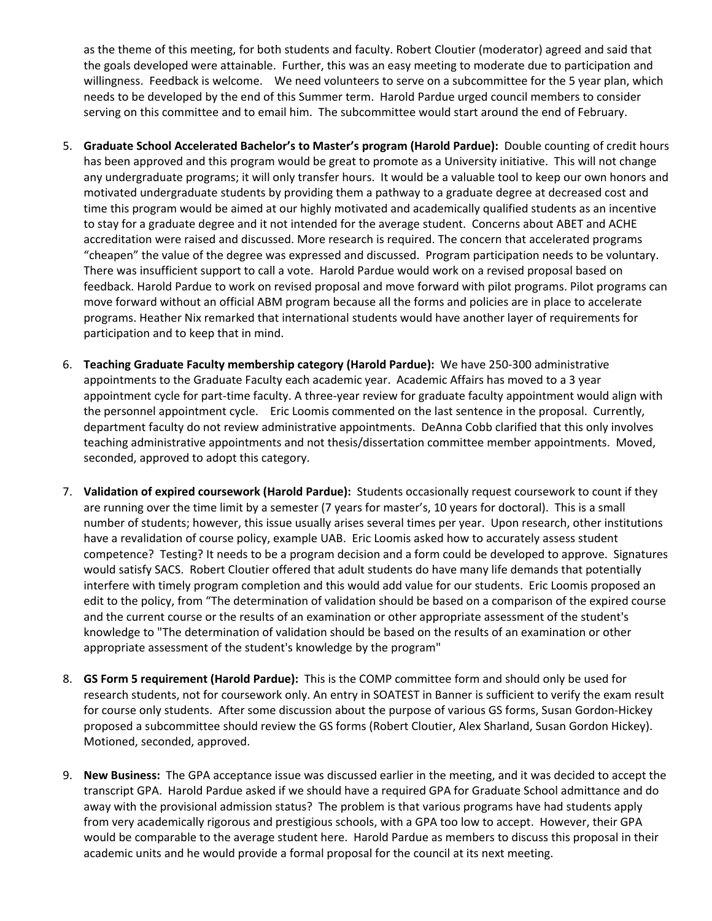as the theme of this meeting, for both students and faculty. Robert Cloutier (moderator) agreed and said that the goals developed were attainable. Further, this was an easy meeting to moderate due to participation and willingness. Feedback is welcome. We need volunteers to serve on a subcommittee for the 5 year plan, which needs to be developed by the end of this Summer term. Harold Pardue urged council members to consider serving on this committee and to email him. The subcommittee would start around the end of February.

- 5. **Graduate School Accelerated Bachelor's to Master's program (Harold Pardue):** Double counting of credit hours has been approved and this program would be great to promote as a University initiative. This will not change any undergraduate programs; it will only transfer hours. It would be a valuable tool to keep our own honors and motivated undergraduate students by providing them a pathway to a graduate degree at decreased cost and time this program would be aimed at our highly motivated and academically qualified students as an incentive to stay for a graduate degree and it not intended for the average student. Concerns about ABET and ACHE accreditation were raised and discussed. More research is required. The concern that accelerated programs "cheapen" the value of the degree was expressed and discussed. Program participation needs to be voluntary. There was insufficient support to call a vote. Harold Pardue would work on a revised proposal based on feedback. Harold Pardue to work on revised proposal and move forward with pilot programs. Pilot programs can move forward without an official ABM program because all the forms and policies are in place to accelerate programs. Heather Nix remarked that international students would have another layer of requirements for participation and to keep that in mind.
- 6. **Teaching Graduate Faculty membership category (Harold Pardue):** We have 250-300 administrative appointments to the Graduate Faculty each academic year. Academic Affairs has moved to a 3 year appointment cycle for part-time faculty. A three-year review for graduate faculty appointment would align with the personnel appointment cycle. Eric Loomis commented on the last sentence in the proposal. Currently, department faculty do not review administrative appointments. DeAnna Cobb clarified that this only involves teaching administrative appointments and not thesis/dissertation committee member appointments. Moved, seconded, approved to adopt this category.
- 7. **Validation of expired coursework (Harold Pardue):** Students occasionally request coursework to count if they are running over the time limit by a semester (7 years for master's, 10 years for doctoral). This is a small number of students; however, this issue usually arises several times per year. Upon research, other institutions have a revalidation of course policy, example UAB. Eric Loomis asked how to accurately assess student competence? Testing? It needs to be a program decision and a form could be developed to approve. Signatures would satisfy SACS. Robert Cloutier offered that adult students do have many life demands that potentially interfere with timely program completion and this would add value for our students. Eric Loomis proposed an edit to the policy, from "The determination of validation should be based on a comparison of the expired course and the current course or the results of an examination or other appropriate assessment of the student's knowledge to "The determination of validation should be based on the results of an examination or other appropriate assessment of the student's knowledge by the program"
- 8. **GS Form 5 requirement (Harold Pardue):** This is the COMP committee form and should only be used for research students, not for coursework only. An entry in SOATEST in Banner is sufficient to verify the exam result for course only students. After some discussion about the purpose of various GS forms, Susan Gordon-Hickey proposed a subcommittee should review the GS forms (Robert Cloutier, Alex Sharland, Susan Gordon Hickey). Motioned, seconded, approved.
- 9. **New Business:** The GPA acceptance issue was discussed earlier in the meeting, and it was decided to accept the transcript GPA. Harold Pardue asked if we should have a required GPA for Graduate School admittance and do away with the provisional admission status? The problem is that various programs have had students apply from very academically rigorous and prestigious schools, with a GPA too low to accept. However, their GPA would be comparable to the average student here. Harold Pardue as members to discuss this proposal in their academic units and he would provide a formal proposal for the council at its next meeting.